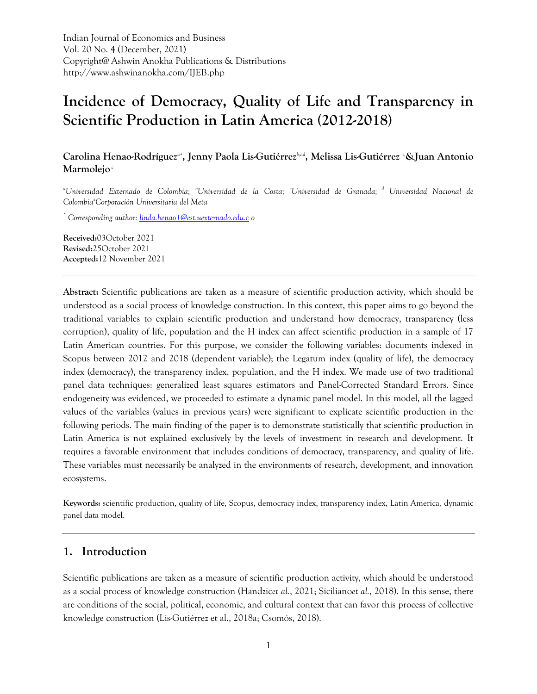Indian Journal of Economics and Business Vol. 20 No. 4 (December, 2021) Copyright@ Ashwin Anokha Publications & Distributions http://www.ashwinanokha.com/IJEB.php

# **Incidence of Democracy, Quality of Life and Transparency in Scientific Production in Latin America (2012-2018)**

**Carolina Henao-Rodríguez***a+* **, Jenny Paola Lis-Gutiérrez***b,c,d* **, Melissa Lis-Gutiérrez** *e,***&Juan Antonio Marmolejo** *<sup>c</sup>*

*<sup>a</sup>Universidad Externado de Colombia; <sup>b</sup>Universidad de la Costa; <sup>c</sup>Universidad de Granada; <sup>d</sup> Universidad Nacional de Colombia<sup>e</sup>Corporación Universitaria del Meta*

*\* Corresponding author: [linda.henao1@est.uexternado.edu.c](mailto:linda.henao1@est.uexternado.edu.c) o*

**Received:**03October 2021 **Revised:**25October 2021 **Accepted:**12 November 2021

**Abstract:** Scientific publications are taken as a measure of scientific production activity, which should be understood as a social process of knowledge construction. In this context, this paper aims to go beyond the traditional variables to explain scientific production and understand how democracy, transparency (less corruption), quality of life, population and the H index can affect scientific production in a sample of 17 Latin American countries. For this purpose, we consider the following variables: documents indexed in Scopus between 2012 and 2018 (dependent variable); the Legatum index (quality of life), the democracy index (democracy), the transparency index, population, and the H index. We made use of two traditional panel data techniques: generalized least squares estimators and Panel-Corrected Standard Errors. Since endogeneity was evidenced, we proceeded to estimate a dynamic panel model. In this model, all the lagged values of the variables (values in previous years) were significant to explicate scientific production in the following periods. The main finding of the paper is to demonstrate statistically that scientific production in Latin America is not explained exclusively by the levels of investment in research and development. It requires a favorable environment that includes conditions of democracy, transparency, and quality of life. These variables must necessarily be analyzed in the environments of research, development, and innovation ecosystems.

**Keywords:** scientific production, quality of life, Scopus, democracy index, transparency index, Latin America, dynamic panel data model.

## **1. Introduction**

Scientific publications are taken as a measure of scientific production activity, which should be understood as a social process of knowledge construction (Handzic*et al.*, 2021; Siciliano*et al.*, 2018). In this sense, there are conditions of the social, political, economic, and cultural context that can favor this process of collective knowledge construction (Lis-Gutiérrez et al., 2018a; Csomós, 2018).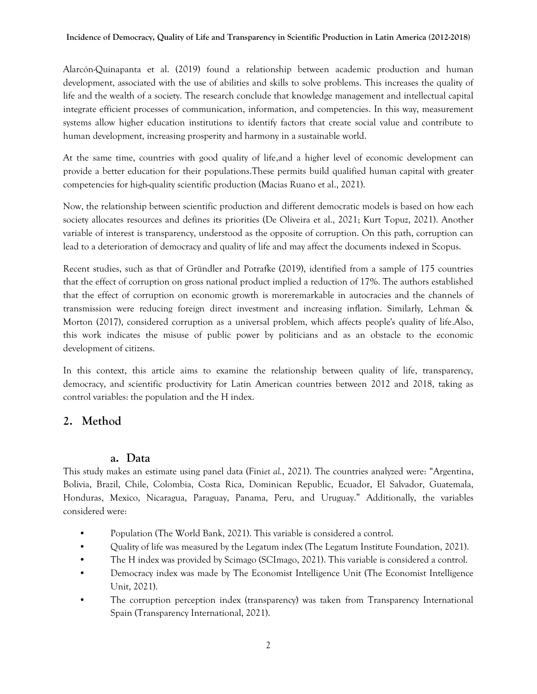Alarcón-Quinapanta et al. (2019) found a relationship between academic production and human development, associated with the use of abilities and skills to solve problems. This increases the quality of life and the wealth of a society. The research conclude that knowledge management and intellectual capital integrate efficient processes of communication, information, and competencies. In this way, measurement systems allow higher education institutions to identify factors that create social value and contribute to human development, increasing prosperity and harmony in a sustainable world.

At the same time, countries with good quality of life,and a higher level of economic development can provide a better education for their populations.These permits build qualified human capital with greater competencies for high-quality scientific production (Macias Ruano et al., 2021).

Now, the relationship between scientific production and different democratic models is based on how each society allocates resources and defines its priorities (De Oliveira et al., 2021; Kurt Topuz, 2021). Another variable of interest is transparency, understood as the opposite of corruption. On this path, corruption can lead to a deterioration of democracy and quality of life and may affect the documents indexed in Scopus.

Recent studies, such as that of Gründler and Potrafke (2019), identified from a sample of 175 countries that the effect of corruption on gross national product implied a reduction of 17%. The authors established that the effect of corruption on economic growth is moreremarkable in autocracies and the channels of transmission were reducing foreign direct investment and increasing inflation. Similarly, Lehman & Morton (2017), considered corruption as a universal problem, which affects people's quality of life.Also, this work indicates the misuse of public power by politicians and as an obstacle to the economic development of citizens.

In this context, this article aims to examine the relationship between quality of life, transparency, democracy, and scientific productivity for Latin American countries between 2012 and 2018, taking as control variables: the population and the H index.

# **2. Method**

## **a. Data**

This study makes an estimate using panel data (Fini*et al.*, 2021). The countries analyzed were: "Argentina, Bolivia, Brazil, Chile, Colombia, Costa Rica, Dominican Republic, Ecuador, El Salvador, Guatemala, Honduras, Mexico, Nicaragua, Paraguay, Panama, Peru, and Uruguay." Additionally, the variables considered were:

- Population (The World Bank, 2021). This variable is considered a control.
- Quality of life was measured by the Legatum index (The Legatum Institute Foundation, 2021).
- The H index was provided by Scimago (SCImago, 2021). This variable is considered a control.
- Democracy index was made by The Economist Intelligence Unit (The Economist Intelligence Unit, 2021).
- The corruption perception index (transparency) was taken from Transparency International Spain (Transparency International, 2021).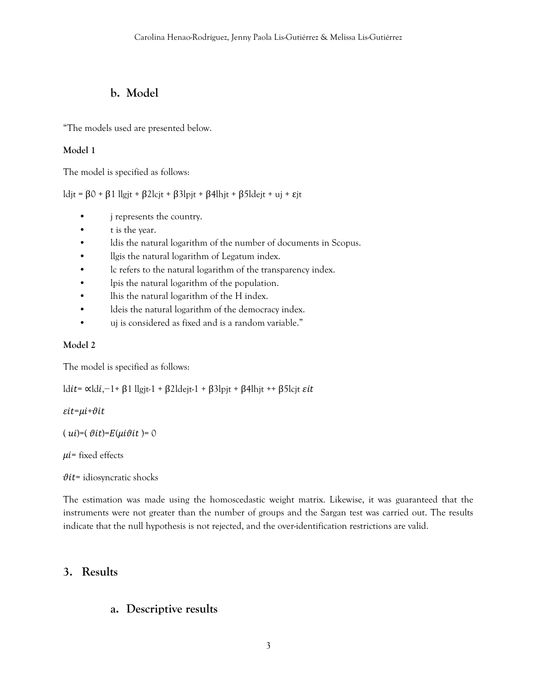# **b. Model**

"The models used are presented below.

#### **Model 1**

The model is specified as follows:

ldjt =  $\beta$ 0 +  $\beta$ 1 llgjt +  $\beta$ 2lcjt +  $\beta$ 3lpjt +  $\beta$ 4lhjt +  $\beta$ 5ldejt + uj +  $\epsilon$ jt

- j represents the country.
- t is the year.
- ldis the natural logarithm of the number of documents in Scopus.
- llgis the natural logarithm of Legatum index.
- lc refers to the natural logarithm of the transparency index.
- lpis the natural logarithm of the population.
- lhis the natural logarithm of the H index.
- ldeis the natural logarithm of the democracy index.
- uj is considered as fixed and is a random variable."

#### **Model 2**

The model is specified as follows:

ldit= «ldi,−1+ β1 llgjt-1 + β2ldejt-1 + β3lpjt + β4lhjt ++ β5lcjt εit

#### $\epsilon$ it= $\mu$ i+ $\vartheta$ it

 $(ui)=(\vartheta it)=E(\mu i\vartheta it)=0$ 

 $\mu$ *i*= fixed effects

 $\vartheta$ it= idiosyncratic shocks

The estimation was made using the homoscedastic weight matrix. Likewise, it was guaranteed that the instruments were not greater than the number of groups and the Sargan test was carried out. The results indicate that the null hypothesis is not rejected, and the over-identification restrictions are valid.

## **3. Results**

## **a. Descriptive results**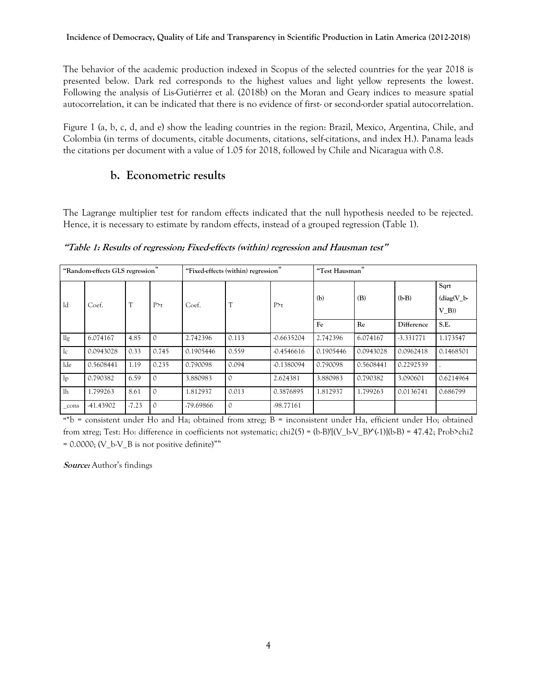#### **Incidence of Democracy, Quality of Life and Transparency in Scientific Production in Latin America (2012-2018)**

The behavior of the academic production indexed in Scopus of the selected countries for the year 2018 is presented below. Dark red corresponds to the highest values and light yellow represents the lowest. Following the analysis of Lis-Gutiérrez et al. (2018b) on the Moran and Geary indices to measure spatial autocorrelation, it can be indicated that there is no evidence of first- or second-order spatial autocorrelation.

Figure 1 (a, b, c, d, and e) show the leading countries in the region: Brazil, Mexico, Argentina, Chile, and Colombia (in terms of documents, citable documents, citations, self-citations, and index H.). Panama leads the citations per document with a value of 1.05 for 2018, followed by Chile and Nicaragua with 0.8.

## **b. Econometric results**

The Lagrange multiplier test for random effects indicated that the null hypothesis needed to be rejected. Hence, it is necessary to estimate by random effects, instead of a grouped regression (Table 1).

**"Table 1: Results of regression; Fixed-effects (within) regression and Hausman test"**

| "Random-effects GLS regression" |           |              |          | "Fixed-effects (within) regression" |               |              | "Test Hausman" |           |             |                                       |
|---------------------------------|-----------|--------------|----------|-------------------------------------|---------------|--------------|----------------|-----------|-------------|---------------------------------------|
| ld.                             | Coef.     | $\mathsf{T}$ | P > t    | Coef.                               |               | P > t        | (b)            | (B)       | $(b-B)$     | Sqrt<br>$\text{diag}(V_b)$<br>$V$ B)) |
|                                 |           |              |          |                                     |               |              | Fe             | Re        | Difference  | S.E.                                  |
| $\lg$                           | 6.074167  | 4.85         |          | 2.742396                            | 0.113         | $-0.6635204$ | 2.742396       | 6.074167  | $-3.331771$ | 1.173547                              |
| 1c                              | 0.0943028 | 0.33         | 0.745    | 0.1905446                           | 0.559         | $-0.4546616$ | 0.1905446      | 0.0943028 | 0.0962418   | 0.1468501                             |
| lde                             | 0.5608441 | 1.19         | 0.235    | 0.790098                            | 0.094         | $-0.1380094$ | 0.790098       | 0.5608441 | 0.2292539   |                                       |
| 1 <sub>p</sub>                  | 0.790382  | 6.59         |          | 3.880983                            | $\mathcal{O}$ | 2.624381     | 3.880983       | 0.790382  | 3.090601    | 0.6214964                             |
| lh                              | 1.799263  | 8.61         |          | 1.812937                            | 0.013         | 0.3876895    | 1.812937       | 1.799263  | 0.0136741   | 0.686799                              |
| $\_cons$                        | -41.43902 | $-7.23$      | $\Omega$ | $-79.69866$                         | $\mathcal{O}$ | -98.77161    |                |           |             |                                       |

**"**\*b = consistent under Ho and Ha; obtained from xtreg; B = inconsistent under Ha, efficient under Ho; obtained from xtreg; Test: Ho: difference in coefficients not systematic; chi2(5) = (b-B)'[(V\_b-V\_B)^(-1)](b-B) = 47.42; Prob>chi2  $= 0.0000$ ; (V b-V B is not positive definite)""

**Source:** Author's findings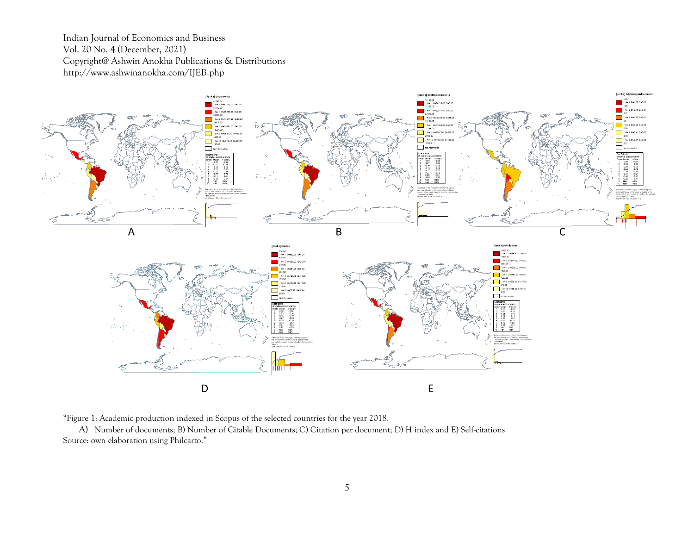Indian Journal of Economics and Business Vol. 20 No. 4 (December, 2021) Copyright@ Ashwin Anokha Publications & Distributions http://www.ashwinanokha.com/IJEB.php



"Figure 1: Academic production indexed in Scopus of the selected countries for the year 2018.

A) Number of documents; B) Number of Citable Documents; C) Citation per document; D) H index and E) Self-citations Source: own elaboration using Philcarto."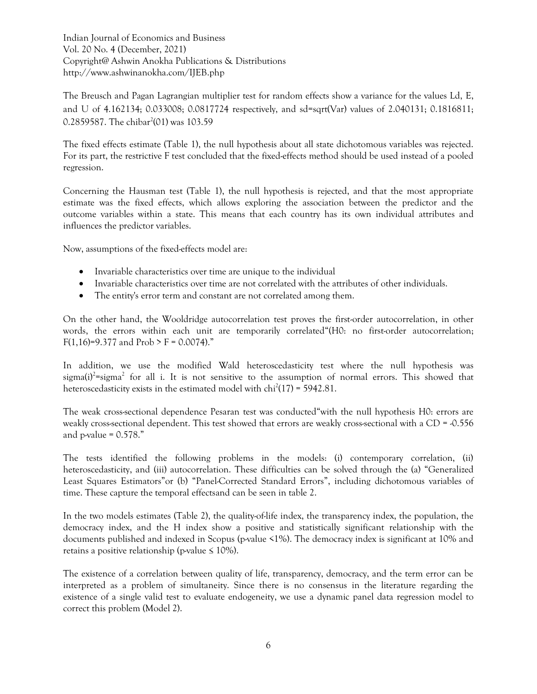Indian Journal of Economics and Business Vol. 20 No. 4 (December, 2021) Copyright@ Ashwin Anokha Publications & Distributions http://www.ashwinanokha.com/IJEB.php

The Breusch and Pagan Lagrangian multiplier test for random effects show a variance for the values Ld, E, and U of 4.162134; 0.033008; 0.0817724 respectively, and sd=sqrt(Var) values of 2.040131; 0.1816811; 0.2859587. The chibar<sup>2</sup>(01) was 103.59

The fixed effects estimate (Table 1), the null hypothesis about all state dichotomous variables was rejected. For its part, the restrictive F test concluded that the fixed-effects method should be used instead of a pooled regression.

Concerning the Hausman test (Table 1), the null hypothesis is rejected, and that the most appropriate estimate was the fixed effects, which allows exploring the association between the predictor and the outcome variables within a state. This means that each country has its own individual attributes and influences the predictor variables.

Now, assumptions of the fixed-effects model are:

- Invariable characteristics over time are unique to the individual
- Invariable characteristics over time are not correlated with the attributes of other individuals.
- The entity's error term and constant are not correlated among them.

On the other hand, the Wooldridge autocorrelation test proves the first-order autocorrelation, in other words, the errors within each unit are temporarily correlated"(H0: no first-order autocorrelation; F(1,16)=9.377 and Prob > F = 0.0074)."

In addition, we use the modified Wald heteroscedasticity test where the null hypothesis was sigma(i)<sup>2</sup>=sigma<sup>2</sup> for all i. It is not sensitive to the assumption of normal errors. This showed that heteroscedasticity exists in the estimated model with  $\text{chi}^2(17) = 5942.81$ .

The weak cross-sectional dependence Pesaran test was conducted"with the null hypothesis H0: errors are weakly cross-sectional dependent. This test showed that errors are weakly cross-sectional with a  $CD = 0.556$ and p-value  $= 0.578$ ."

The tests identified the following problems in the models: (i) contemporary correlation, (ii) heteroscedasticity, and (iii) autocorrelation. These difficulties can be solved through the (a) "Generalized Least Squares Estimators"or (b) "Panel-Corrected Standard Errors", including dichotomous variables of time. These capture the temporal effectsand can be seen in table 2.

In the two models estimates (Table 2), the quality-of-life index, the transparency index, the population, the democracy index, and the H index show a positive and statistically significant relationship with the documents published and indexed in Scopus (p-value <1%). The democracy index is significant at 10% and retains a positive relationship (p-value  $\leq 10\%$ ).

The existence of a correlation between quality of life, transparency, democracy, and the term error can be interpreted as a problem of simultaneity. Since there is no consensus in the literature regarding the existence of a single valid test to evaluate endogeneity, we use a dynamic panel data regression model to correct this problem (Model 2).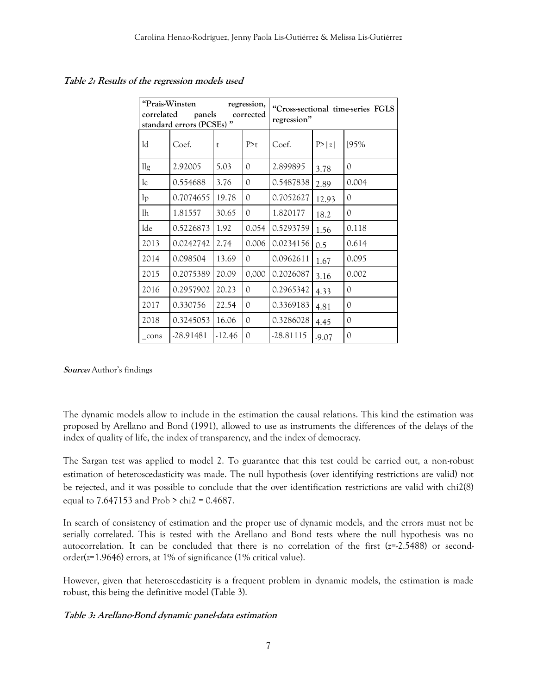| "Prais-Winsten<br>regression,<br>correlated<br>panels<br>corrected<br>standard errors (PCSEs)" |           |          |               | "Cross-sectional time-series FGLS<br>regression" |         |       |  |
|------------------------------------------------------------------------------------------------|-----------|----------|---------------|--------------------------------------------------|---------|-------|--|
| ld                                                                                             | Coef.     | t        | P > t         | Coef.                                            | P> z    | 195%  |  |
| $\frac{1}{g}$                                                                                  | 2.92005   | 5.03     | $\Omega$      | 2.899895                                         | 3.78    | 0     |  |
| lc                                                                                             | 0.554688  | 3.76     | $\circ$       | 0.5487838                                        | 2.89    | 0.004 |  |
| 1 <sub>p</sub>                                                                                 | 0.7074655 | 19.78    | $\circ$       | 0.7052627                                        | 12.93   | 0     |  |
| lh                                                                                             | 1.81557   | 30.65    | $\mathcal{O}$ | 1.820177                                         | 18.2    | 0     |  |
| lde                                                                                            | 0.5226873 | 1.92     | 0.054         | 0.5293759                                        | 1.56    | 0.118 |  |
| 2013                                                                                           | 0.0242742 | 2.74     | 0.006         | 0.0234156                                        | 0.5     | 0.614 |  |
| 2014                                                                                           | 0.098504  | 13.69    | $\Omega$      | 0.0962611                                        | 1.67    | 0.095 |  |
| 2015                                                                                           | 0.2075389 | 20.09    | 0,000         | 0.2026087                                        | 3.16    | 0.002 |  |
| 2016                                                                                           | 0.2957902 | 20.23    | $\circ$       | 0.2965342                                        | 4.33    | 0     |  |
| 2017                                                                                           | 0.330756  | 22.54    | $\Omega$      | 0.3369183                                        | 4.81    | 0     |  |
| 2018                                                                                           | 0.3245053 | 16.06    | $\mathcal{O}$ | 0.3286028                                        | 4.45    | 0     |  |
| cons                                                                                           | -28.91481 | $-12.46$ | $\Omega$      | $-28.81115$                                      | $-9.07$ | 0     |  |

**Table 2: Results of the regression models used**

**Source:** Author's findings

The dynamic models allow to include in the estimation the causal relations. This kind the estimation was proposed by Arellano and Bond (1991), allowed to use as instruments the differences of the delays of the index of quality of life, the index of transparency, and the index of democracy.

The Sargan test was applied to model 2. To guarantee that this test could be carried out, a non-robust estimation of heteroscedasticity was made. The null hypothesis (over identifying restrictions are valid) not be rejected, and it was possible to conclude that the over identification restrictions are valid with chi2(8) equal to  $7.647153$  and  $Prob > chi2 = 0.4687$ .

In search of consistency of estimation and the proper use of dynamic models, and the errors must not be serially correlated. This is tested with the Arellano and Bond tests where the null hypothesis was no autocorrelation. It can be concluded that there is no correlation of the first (z=-2.5488) or secondorder(z=1.9646) errors, at 1% of significance (1% critical value).

However, given that heteroscedasticity is a frequent problem in dynamic models, the estimation is made robust, this being the definitive model (Table 3).

#### **Table 3: Arellano-Bond dynamic panel-data estimation**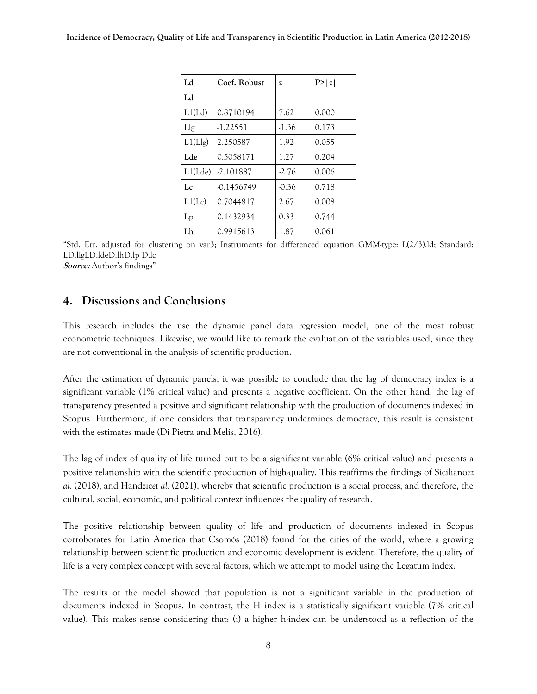| Ld      | Coef. Robust | z       | P> z  |
|---------|--------------|---------|-------|
| Ld      |              |         |       |
| L1(Ld)  | 0.8710194    | 7.62    | 0.000 |
| Llg     | $-1.22551$   | $-1.36$ | 0.173 |
| L1(Llg) | 2.250587     | 1.92    | 0.055 |
| Lde     | 0.5058171    | 1.27    | 0.204 |
| L1(Lde) | $-2.101887$  | $-2.76$ | 0.006 |
| Lc      | $-0.1456749$ | $-0.36$ | 0.718 |
| L1(Lc)  | 0.7044817    | 2.67    | 0.008 |
| $L_{p}$ | 0.1432934    | 0.33    | 0.744 |
| Lh      | 0.9915613    | 1.87    | 0.061 |

"Std. Err. adjusted for clustering on var3; Instruments for differenced equation GMM-type: L(2/3).ld; Standard: LD.llgLD.ldeD.lhD.lp D.lc **Source:** Author's findings"

## **4. Discussions and Conclusions**

This research includes the use the dynamic panel data regression model, one of the most robust econometric techniques. Likewise, we would like to remark the evaluation of the variables used, since they are not conventional in the analysis of scientific production.

After the estimation of dynamic panels, it was possible to conclude that the lag of democracy index is a significant variable (1% critical value) and presents a negative coefficient. On the other hand, the lag of transparency presented a positive and significant relationship with the production of documents indexed in Scopus. Furthermore, if one considers that transparency undermines democracy, this result is consistent with the estimates made (Di Pietra and Melis, 2016).

The lag of index of quality of life turned out to be a significant variable (6% critical value) and presents a positive relationship with the scientific production of high-quality. This reaffirms the findings of Siciliano*et al.* (2018), and Handzic*et al.* (2021), whereby that scientific production is a social process, and therefore, the cultural, social, economic, and political context influences the quality of research.

The positive relationship between quality of life and production of documents indexed in Scopus corroborates for Latin America that Csomós (2018) found for the cities of the world, where a growing relationship between scientific production and economic development is evident. Therefore, the quality of life is a very complex concept with several factors, which we attempt to model using the Legatum index.

The results of the model showed that population is not a significant variable in the production of documents indexed in Scopus. In contrast, the H index is a statistically significant variable (7% critical value). This makes sense considering that: (i) a higher h-index can be understood as a reflection of the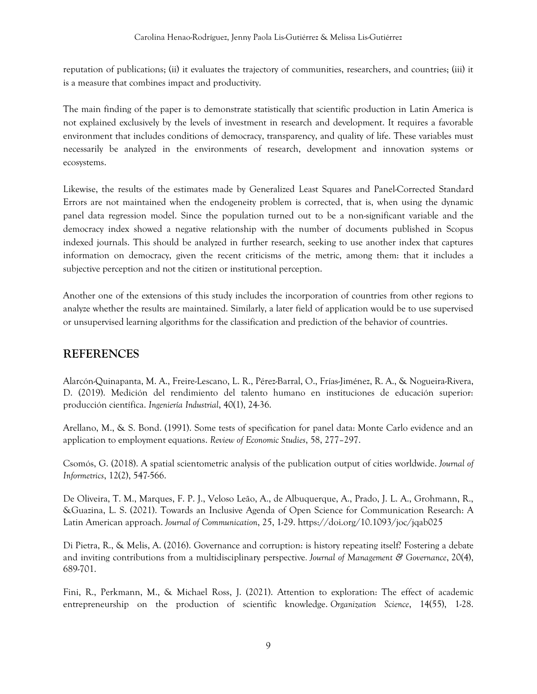reputation of publications; (ii) it evaluates the trajectory of communities, researchers, and countries; (iii) it is a measure that combines impact and productivity.

The main finding of the paper is to demonstrate statistically that scientific production in Latin America is not explained exclusively by the levels of investment in research and development. It requires a favorable environment that includes conditions of democracy, transparency, and quality of life. These variables must necessarily be analyzed in the environments of research, development and innovation systems or ecosystems.

Likewise, the results of the estimates made by Generalized Least Squares and Panel-Corrected Standard Errors are not maintained when the endogeneity problem is corrected, that is, when using the dynamic panel data regression model. Since the population turned out to be a non-significant variable and the democracy index showed a negative relationship with the number of documents published in Scopus indexed journals. This should be analyzed in further research, seeking to use another index that captures information on democracy, given the recent criticisms of the metric, among them: that it includes a subjective perception and not the citizen or institutional perception.

Another one of the extensions of this study includes the incorporation of countries from other regions to analyze whether the results are maintained. Similarly, a later field of application would be to use supervised or unsupervised learning algorithms for the classification and prediction of the behavior of countries.

# **REFERENCES**

Alarcón-Quinapanta, M. A., Freire-Lescano, L. R., Pérez-Barral, O., Frías-Jiménez, R. A., & Nogueira-Rivera, D. (2019). Medición del rendimiento del talento humano en instituciones de educación superior: producción científica. *Ingeniería Industrial*, 40(1), 24-36.

Arellano, M., & S. Bond. (1991). Some tests of specification for panel data: Monte Carlo evidence and an application to employment equations. *Review of Economic Studies*, 58, 277–297.

Csomós, G. (2018). A spatial scientometric analysis of the publication output of cities worldwide. *Journal of Informetrics*, 12(2), 547-566.

De Oliveira, T. M., Marques, F. P. J., Veloso Leão, A., de Albuquerque, A., Prado, J. L. A., Grohmann, R., &Guazina, L. S. (2021). Towards an Inclusive Agenda of Open Science for Communication Research: A Latin American approach. *Journal of Communication*, 25, 1-29. <https://doi.org/10.1093/joc/jqab025>

Di Pietra, R., & Melis, A. (2016). Governance and corruption: is history repeating itself? Fostering a debate and inviting contributions from a multidisciplinary perspective*. Journal of Management & Governance*, 20(4), 689-701.

Fini, R., Perkmann, M., & Michael Ross, J. (2021). Attention to exploration: The effect of academic entrepreneurship on the production of scientific knowledge. *Organization Science*, 14(55), 1-28.